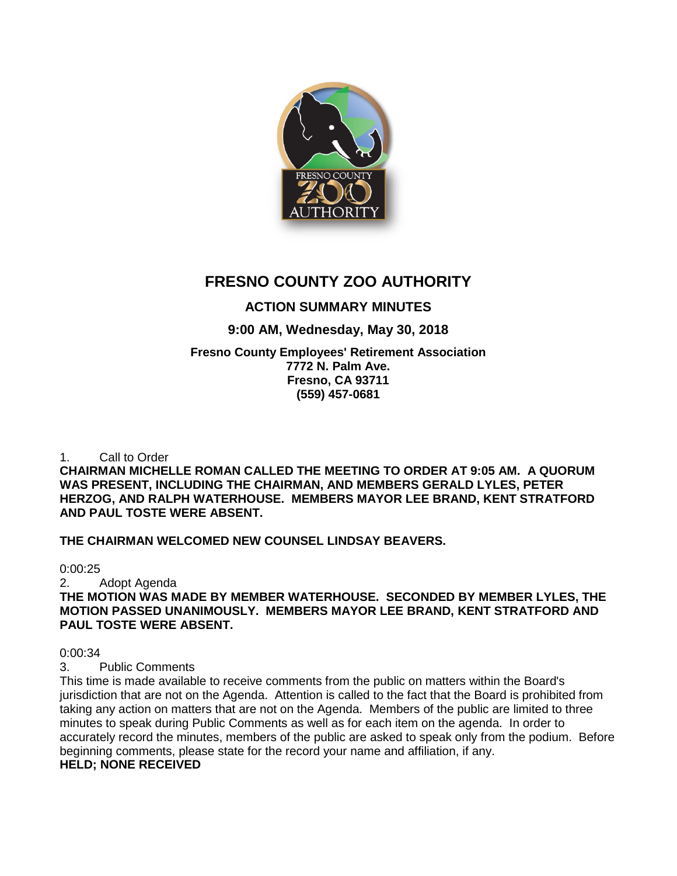

# **FRESNO COUNTY ZOO AUTHORITY**

# **ACTION SUMMARY MINUTES**

# **9:00 AM, Wednesday, May 30, 2018**

# **Fresno County Employees' Retirement Association 7772 N. Palm Ave. Fresno, CA 93711 (559) 457-0681**

1. Call to Order

**CHAIRMAN MICHELLE ROMAN CALLED THE MEETING TO ORDER AT 9:05 AM. A QUORUM WAS PRESENT, INCLUDING THE CHAIRMAN, AND MEMBERS GERALD LYLES, PETER HERZOG, AND RALPH WATERHOUSE. MEMBERS MAYOR LEE BRAND, KENT STRATFORD AND PAUL TOSTE WERE ABSENT.**

# **THE CHAIRMAN WELCOMED NEW COUNSEL LINDSAY BEAVERS.**

0:00:25

2. Adopt Agenda

**THE MOTION WAS MADE BY MEMBER WATERHOUSE. SECONDED BY MEMBER LYLES, THE MOTION PASSED UNANIMOUSLY. MEMBERS MAYOR LEE BRAND, KENT STRATFORD AND PAUL TOSTE WERE ABSENT.**

0:00:34

3. Public Comments

This time is made available to receive comments from the public on matters within the Board's jurisdiction that are not on the Agenda. Attention is called to the fact that the Board is prohibited from taking any action on matters that are not on the Agenda. Members of the public are limited to three minutes to speak during Public Comments as well as for each item on the agenda. In order to accurately record the minutes, members of the public are asked to speak only from the podium. Before beginning comments, please state for the record your name and affiliation, if any. **HELD; NONE RECEIVED**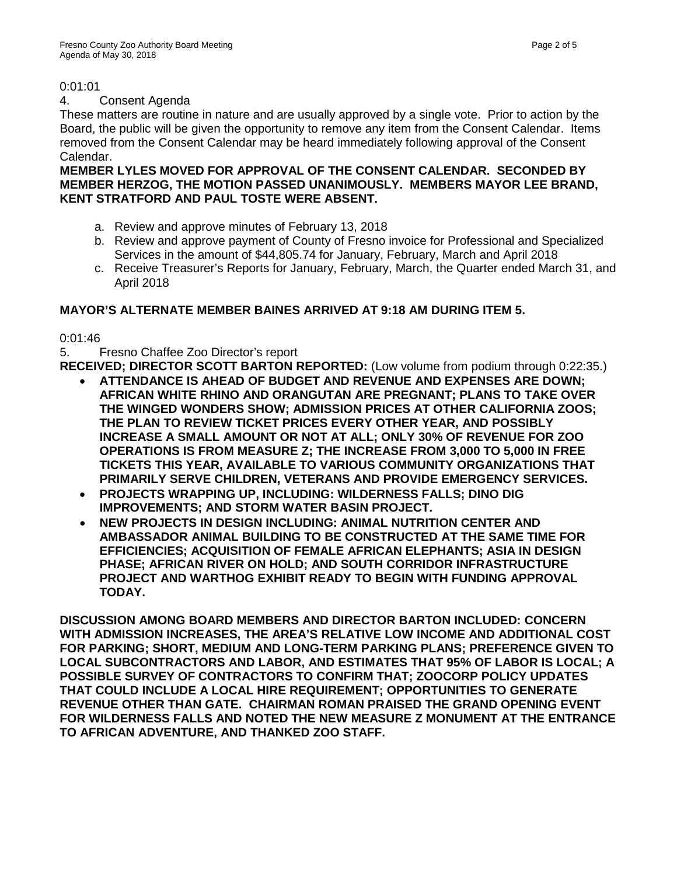# 0:01:01

# 4. Consent Agenda

These matters are routine in nature and are usually approved by a single vote. Prior to action by the Board, the public will be given the opportunity to remove any item from the Consent Calendar. Items removed from the Consent Calendar may be heard immediately following approval of the Consent Calendar.

### **MEMBER LYLES MOVED FOR APPROVAL OF THE CONSENT CALENDAR. SECONDED BY MEMBER HERZOG, THE MOTION PASSED UNANIMOUSLY. MEMBERS MAYOR LEE BRAND, KENT STRATFORD AND PAUL TOSTE WERE ABSENT.**

- a. Review and approve minutes of February 13, 2018
- b. Review and approve payment of County of Fresno invoice for Professional and Specialized Services in the amount of \$44,805.74 for January, February, March and April 2018
- c. Receive Treasurer's Reports for January, February, March, the Quarter ended March 31, and April 2018

# **MAYOR'S ALTERNATE MEMBER BAINES ARRIVED AT 9:18 AM DURING ITEM 5.**

0:01:46

5. Fresno Chaffee Zoo Director's report

**RECEIVED; DIRECTOR SCOTT BARTON REPORTED:** (Low volume from podium through 0:22:35.)

- **ATTENDANCE IS AHEAD OF BUDGET AND REVENUE AND EXPENSES ARE DOWN; AFRICAN WHITE RHINO AND ORANGUTAN ARE PREGNANT; PLANS TO TAKE OVER THE WINGED WONDERS SHOW; ADMISSION PRICES AT OTHER CALIFORNIA ZOOS; THE PLAN TO REVIEW TICKET PRICES EVERY OTHER YEAR, AND POSSIBLY INCREASE A SMALL AMOUNT OR NOT AT ALL; ONLY 30% OF REVENUE FOR ZOO OPERATIONS IS FROM MEASURE Z; THE INCREASE FROM 3,000 TO 5,000 IN FREE TICKETS THIS YEAR, AVAILABLE TO VARIOUS COMMUNITY ORGANIZATIONS THAT PRIMARILY SERVE CHILDREN, VETERANS AND PROVIDE EMERGENCY SERVICES.**
- **PROJECTS WRAPPING UP, INCLUDING: WILDERNESS FALLS; DINO DIG IMPROVEMENTS; AND STORM WATER BASIN PROJECT.**
- **NEW PROJECTS IN DESIGN INCLUDING: ANIMAL NUTRITION CENTER AND AMBASSADOR ANIMAL BUILDING TO BE CONSTRUCTED AT THE SAME TIME FOR EFFICIENCIES; ACQUISITION OF FEMALE AFRICAN ELEPHANTS; ASIA IN DESIGN PHASE; AFRICAN RIVER ON HOLD; AND SOUTH CORRIDOR INFRASTRUCTURE PROJECT AND WARTHOG EXHIBIT READY TO BEGIN WITH FUNDING APPROVAL TODAY.**

**DISCUSSION AMONG BOARD MEMBERS AND DIRECTOR BARTON INCLUDED: CONCERN WITH ADMISSION INCREASES, THE AREA'S RELATIVE LOW INCOME AND ADDITIONAL COST FOR PARKING; SHORT, MEDIUM AND LONG-TERM PARKING PLANS; PREFERENCE GIVEN TO LOCAL SUBCONTRACTORS AND LABOR, AND ESTIMATES THAT 95% OF LABOR IS LOCAL; A POSSIBLE SURVEY OF CONTRACTORS TO CONFIRM THAT; ZOOCORP POLICY UPDATES THAT COULD INCLUDE A LOCAL HIRE REQUIREMENT; OPPORTUNITIES TO GENERATE REVENUE OTHER THAN GATE. CHAIRMAN ROMAN PRAISED THE GRAND OPENING EVENT FOR WILDERNESS FALLS AND NOTED THE NEW MEASURE Z MONUMENT AT THE ENTRANCE TO AFRICAN ADVENTURE, AND THANKED ZOO STAFF.**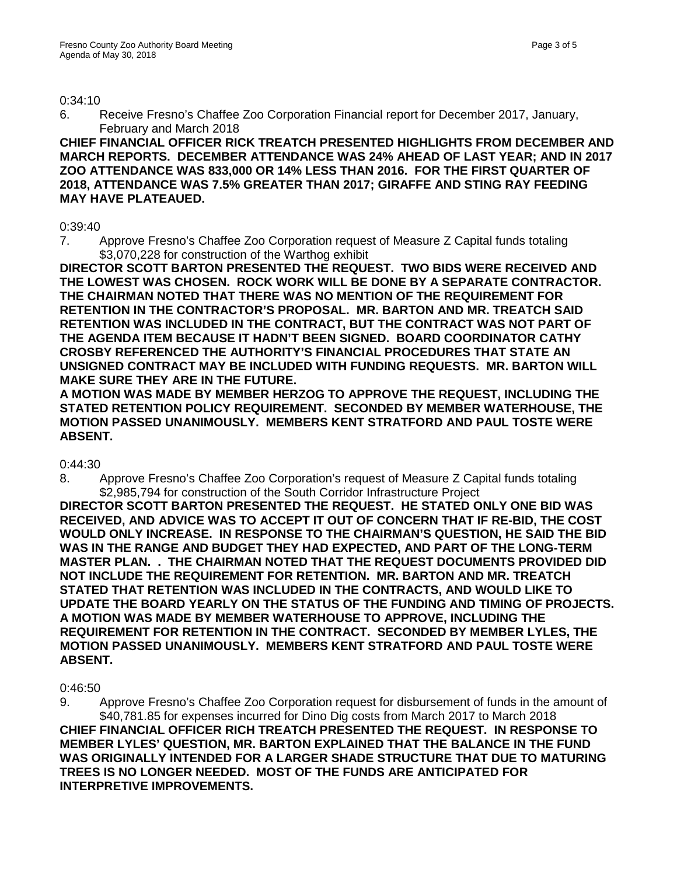#### 0:34:10

6. Receive Fresno's Chaffee Zoo Corporation Financial report for December 2017, January, February and March 2018

**CHIEF FINANCIAL OFFICER RICK TREATCH PRESENTED HIGHLIGHTS FROM DECEMBER AND MARCH REPORTS. DECEMBER ATTENDANCE WAS 24% AHEAD OF LAST YEAR; AND IN 2017 ZOO ATTENDANCE WAS 833,000 OR 14% LESS THAN 2016. FOR THE FIRST QUARTER OF 2018, ATTENDANCE WAS 7.5% GREATER THAN 2017; GIRAFFE AND STING RAY FEEDING MAY HAVE PLATEAUED.**

# 0:39:40

7. Approve Fresno's Chaffee Zoo Corporation request of Measure Z Capital funds totaling \$3,070,228 for construction of the Warthog exhibit

**DIRECTOR SCOTT BARTON PRESENTED THE REQUEST. TWO BIDS WERE RECEIVED AND THE LOWEST WAS CHOSEN. ROCK WORK WILL BE DONE BY A SEPARATE CONTRACTOR. THE CHAIRMAN NOTED THAT THERE WAS NO MENTION OF THE REQUIREMENT FOR RETENTION IN THE CONTRACTOR'S PROPOSAL. MR. BARTON AND MR. TREATCH SAID RETENTION WAS INCLUDED IN THE CONTRACT, BUT THE CONTRACT WAS NOT PART OF THE AGENDA ITEM BECAUSE IT HADN'T BEEN SIGNED. BOARD COORDINATOR CATHY CROSBY REFERENCED THE AUTHORITY'S FINANCIAL PROCEDURES THAT STATE AN UNSIGNED CONTRACT MAY BE INCLUDED WITH FUNDING REQUESTS. MR. BARTON WILL MAKE SURE THEY ARE IN THE FUTURE.**

**A MOTION WAS MADE BY MEMBER HERZOG TO APPROVE THE REQUEST, INCLUDING THE STATED RETENTION POLICY REQUIREMENT. SECONDED BY MEMBER WATERHOUSE, THE MOTION PASSED UNANIMOUSLY. MEMBERS KENT STRATFORD AND PAUL TOSTE WERE ABSENT.**

# 0:44:30

8. Approve Fresno's Chaffee Zoo Corporation's request of Measure Z Capital funds totaling \$2,985,794 for construction of the South Corridor Infrastructure Project

**DIRECTOR SCOTT BARTON PRESENTED THE REQUEST. HE STATED ONLY ONE BID WAS RECEIVED, AND ADVICE WAS TO ACCEPT IT OUT OF CONCERN THAT IF RE-BID, THE COST WOULD ONLY INCREASE. IN RESPONSE TO THE CHAIRMAN'S QUESTION, HE SAID THE BID WAS IN THE RANGE AND BUDGET THEY HAD EXPECTED, AND PART OF THE LONG-TERM MASTER PLAN. . THE CHAIRMAN NOTED THAT THE REQUEST DOCUMENTS PROVIDED DID NOT INCLUDE THE REQUIREMENT FOR RETENTION. MR. BARTON AND MR. TREATCH STATED THAT RETENTION WAS INCLUDED IN THE CONTRACTS, AND WOULD LIKE TO UPDATE THE BOARD YEARLY ON THE STATUS OF THE FUNDING AND TIMING OF PROJECTS. A MOTION WAS MADE BY MEMBER WATERHOUSE TO APPROVE, INCLUDING THE REQUIREMENT FOR RETENTION IN THE CONTRACT. SECONDED BY MEMBER LYLES, THE MOTION PASSED UNANIMOUSLY. MEMBERS KENT STRATFORD AND PAUL TOSTE WERE ABSENT.**

#### 0:46:50

9. Approve Fresno's Chaffee Zoo Corporation request for disbursement of funds in the amount of \$40,781.85 for expenses incurred for Dino Dig costs from March 2017 to March 2018 **CHIEF FINANCIAL OFFICER RICH TREATCH PRESENTED THE REQUEST. IN RESPONSE TO MEMBER LYLES' QUESTION, MR. BARTON EXPLAINED THAT THE BALANCE IN THE FUND WAS ORIGINALLY INTENDED FOR A LARGER SHADE STRUCTURE THAT DUE TO MATURING TREES IS NO LONGER NEEDED. MOST OF THE FUNDS ARE ANTICIPATED FOR INTERPRETIVE IMPROVEMENTS.**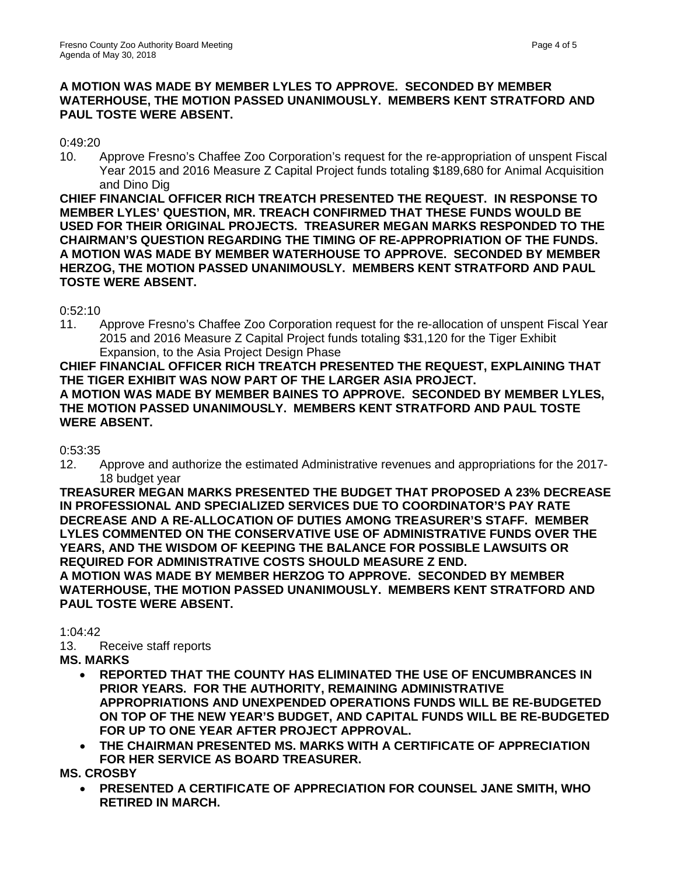# **A MOTION WAS MADE BY MEMBER LYLES TO APPROVE. SECONDED BY MEMBER WATERHOUSE, THE MOTION PASSED UNANIMOUSLY. MEMBERS KENT STRATFORD AND PAUL TOSTE WERE ABSENT.**

### 0:49:20

10. Approve Fresno's Chaffee Zoo Corporation's request for the re-appropriation of unspent Fiscal Year 2015 and 2016 Measure Z Capital Project funds totaling \$189,680 for Animal Acquisition and Dino Dig

**CHIEF FINANCIAL OFFICER RICH TREATCH PRESENTED THE REQUEST. IN RESPONSE TO MEMBER LYLES' QUESTION, MR. TREACH CONFIRMED THAT THESE FUNDS WOULD BE USED FOR THEIR ORIGINAL PROJECTS. TREASURER MEGAN MARKS RESPONDED TO THE CHAIRMAN'S QUESTION REGARDING THE TIMING OF RE-APPROPRIATION OF THE FUNDS. A MOTION WAS MADE BY MEMBER WATERHOUSE TO APPROVE. SECONDED BY MEMBER HERZOG, THE MOTION PASSED UNANIMOUSLY. MEMBERS KENT STRATFORD AND PAUL TOSTE WERE ABSENT.**

0:52:10

11. Approve Fresno's Chaffee Zoo Corporation request for the re-allocation of unspent Fiscal Year 2015 and 2016 Measure Z Capital Project funds totaling \$31,120 for the Tiger Exhibit Expansion, to the Asia Project Design Phase

**CHIEF FINANCIAL OFFICER RICH TREATCH PRESENTED THE REQUEST, EXPLAINING THAT THE TIGER EXHIBIT WAS NOW PART OF THE LARGER ASIA PROJECT. A MOTION WAS MADE BY MEMBER BAINES TO APPROVE. SECONDED BY MEMBER LYLES, THE MOTION PASSED UNANIMOUSLY. MEMBERS KENT STRATFORD AND PAUL TOSTE WERE ABSENT.**

# 0:53:35

12. Approve and authorize the estimated Administrative revenues and appropriations for the 2017- 18 budget year

**TREASURER MEGAN MARKS PRESENTED THE BUDGET THAT PROPOSED A 23% DECREASE IN PROFESSIONAL AND SPECIALIZED SERVICES DUE TO COORDINATOR'S PAY RATE DECREASE AND A RE-ALLOCATION OF DUTIES AMONG TREASURER'S STAFF. MEMBER LYLES COMMENTED ON THE CONSERVATIVE USE OF ADMINISTRATIVE FUNDS OVER THE YEARS, AND THE WISDOM OF KEEPING THE BALANCE FOR POSSIBLE LAWSUITS OR REQUIRED FOR ADMINISTRATIVE COSTS SHOULD MEASURE Z END. A MOTION WAS MADE BY MEMBER HERZOG TO APPROVE. SECONDED BY MEMBER WATERHOUSE, THE MOTION PASSED UNANIMOUSLY. MEMBERS KENT STRATFORD AND PAUL TOSTE WERE ABSENT.**

1:04:42

- 13. Receive staff reports
- **MS. MARKS** 
	- **REPORTED THAT THE COUNTY HAS ELIMINATED THE USE OF ENCUMBRANCES IN PRIOR YEARS. FOR THE AUTHORITY, REMAINING ADMINISTRATIVE APPROPRIATIONS AND UNEXPENDED OPERATIONS FUNDS WILL BE RE-BUDGETED ON TOP OF THE NEW YEAR'S BUDGET, AND CAPITAL FUNDS WILL BE RE-BUDGETED FOR UP TO ONE YEAR AFTER PROJECT APPROVAL.**
	- **THE CHAIRMAN PRESENTED MS. MARKS WITH A CERTIFICATE OF APPRECIATION FOR HER SERVICE AS BOARD TREASURER.**

**MS. CROSBY** 

• **PRESENTED A CERTIFICATE OF APPRECIATION FOR COUNSEL JANE SMITH, WHO RETIRED IN MARCH.**